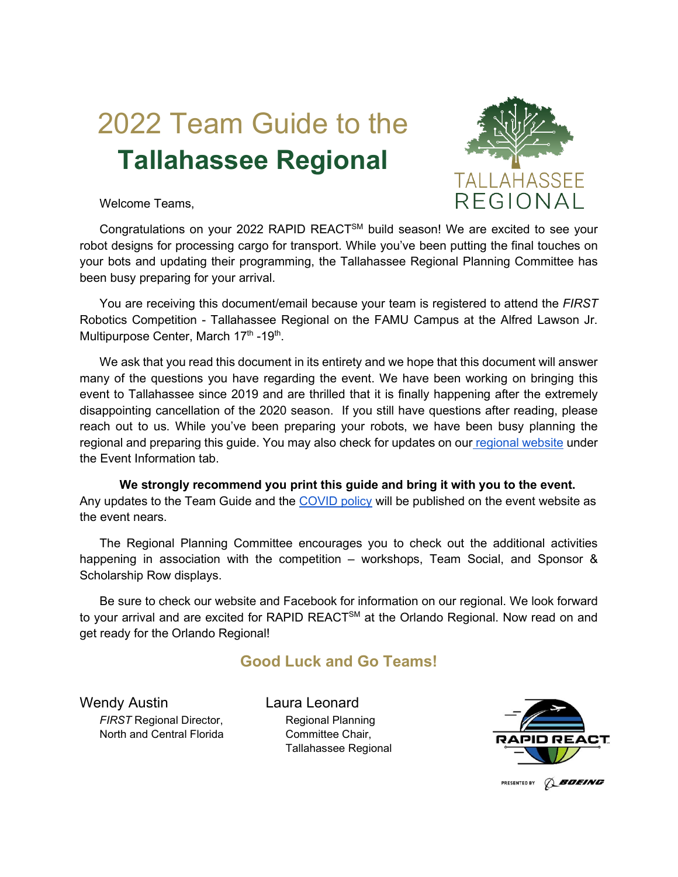## 2022 Team Guide to the **Tallahassee Regional**



Welcome Teams,

Congratulations on your 2022 RAPID REACTSM build season! We are excited to see your robot designs for processing cargo for transport. While you've been putting the final touches on your bots and updating their programming, the Tallahassee Regional Planning Committee has been busy preparing for your arrival.

You are receiving this document/email because your team is registered to attend the *FIRST* Robotics Competition - Tallahassee Regional on the FAMU Campus at the Alfred Lawson Jr. Multipurpose Center, March 17<sup>th</sup> -19<sup>th</sup>.

We ask that you read this document in its entirety and we hope that this document will answer many of the questions you have regarding the event. We have been working on bringing this event to Tallahassee since 2019 and are thrilled that it is finally happening after the extremely disappointing cancellation of the 2020 season. If you still have questions after reading, please reach out to us. While you've been preparing your robots, we have been busy planning the regional and preparing this guide. You may also check for updates on our [regional website](https://tallahasseefrc.org/) under the Event Information tab.

**We strongly recommend you print this guide and bring it with you to the event.**  Any updates to the Team Guide and the [COVID policy](https://tallahasseefrc.org/health-and-safety/) will be published on the event website as the event nears.

The Regional Planning Committee encourages you to check out the additional activities happening in association with the competition – workshops, Team Social, and Sponsor & Scholarship Row displays.

Be sure to check our website and Facebook for information on our regional. We look forward to your arrival and are excited for RAPID REACT<sup>SM</sup> at the Orlando Regional. Now read on and get ready for the Orlando Regional!

#### **Good Luck and Go Teams!**

Wendy Austin *FIRST* Regional Director, North and Central Florida Laura Leonard Regional Planning Committee Chair, Tallahassee Regional

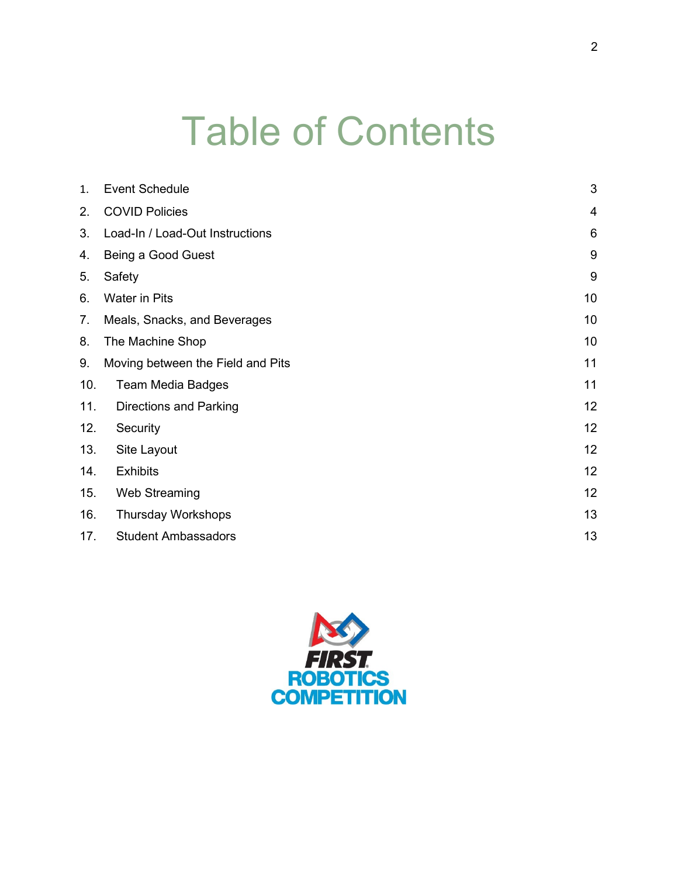# Table of Contents

| $\mathbf{1}$ . | <b>Event Schedule</b>             | $\mathfrak{B}$  |
|----------------|-----------------------------------|-----------------|
| 2.             | <b>COVID Policies</b>             | $\overline{4}$  |
| 3.             | Load-In / Load-Out Instructions   | $6\phantom{1}6$ |
| 4.             | Being a Good Guest                | $9\,$           |
| 5.             | Safety                            | 9               |
| 6.             | <b>Water in Pits</b>              | 10              |
| 7.             | Meals, Snacks, and Beverages      | 10              |
| 8.             | The Machine Shop                  | 10              |
| 9.             | Moving between the Field and Pits | 11              |
| 10.            | <b>Team Media Badges</b>          | 11              |
| 11.            | <b>Directions and Parking</b>     | 12              |
| 12.            | Security                          | 12              |
| 13.            | Site Layout                       | 12              |
| 14.            | <b>Exhibits</b>                   | 12              |
| 15.            | Web Streaming                     | 12              |
| 16.            | <b>Thursday Workshops</b>         | 13              |
| 17.            | <b>Student Ambassadors</b>        | 13              |

<span id="page-1-0"></span>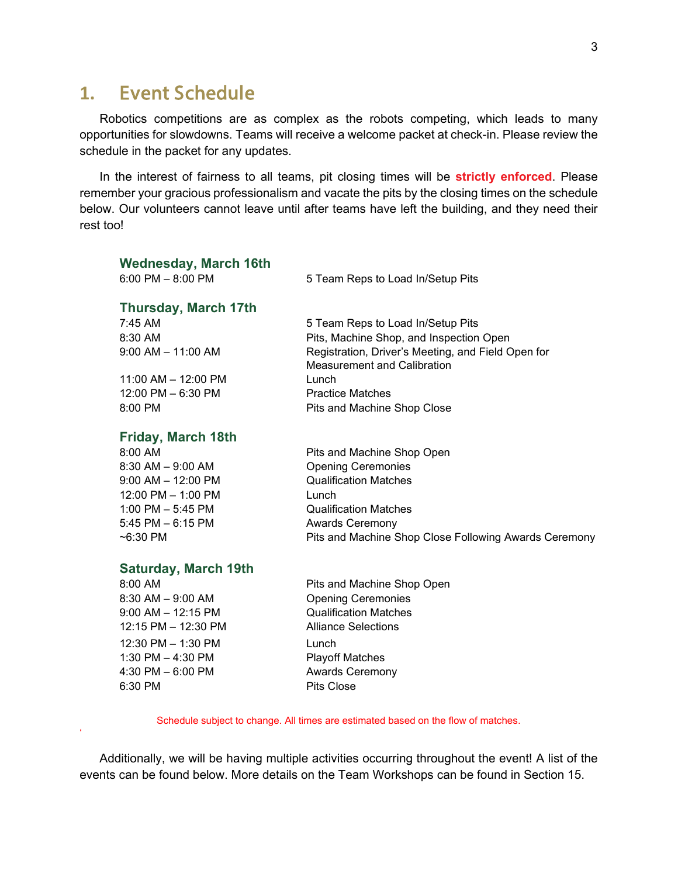#### **1.** Event Schedule

'

Robotics competitions are as complex as the robots competing, which leads to many opportunities for slowdowns. Teams will receive a welcome packet at check-in. Please review the schedule in the packet for any updates.

In the interest of fairness to all teams, pit closing times will be **strictly enforced**. Please remember your gracious professionalism and vacate the pits by the closing times on the schedule below. Our volunteers cannot leave until after teams have left the building, and they need their rest too!

| <b>Wednesday, March 16th</b><br>6:00 PM $-$ 8:00 PM |                                                       |  |
|-----------------------------------------------------|-------------------------------------------------------|--|
|                                                     | 5 Team Reps to Load In/Setup Pits                     |  |
| <b>Thursday, March 17th</b>                         |                                                       |  |
| $7:45$ AM                                           | 5 Team Reps to Load In/Setup Pits                     |  |
| 8:30 AM                                             | Pits, Machine Shop, and Inspection Open               |  |
| $9:00$ AM $- 11:00$ AM                              | Registration, Driver's Meeting, and Field Open for    |  |
|                                                     | <b>Measurement and Calibration</b>                    |  |
| $11:00$ AM $- 12:00$ PM                             | Lunch                                                 |  |
| $12:00$ PM $-6:30$ PM                               | <b>Practice Matches</b>                               |  |
| 8:00 PM                                             | Pits and Machine Shop Close                           |  |
|                                                     |                                                       |  |
| <b>Friday, March 18th</b>                           |                                                       |  |
| 8:00 AM                                             | Pits and Machine Shop Open                            |  |
| $8:30$ AM $-9:00$ AM                                | <b>Opening Ceremonies</b>                             |  |
| $9:00$ AM $-$ 12:00 PM                              | <b>Qualification Matches</b>                          |  |
| 12:00 PM - 1:00 PM                                  | Lunch                                                 |  |
| 1:00 PM $-$ 5:45 PM                                 | <b>Qualification Matches</b>                          |  |
| $5:45$ PM $-6:15$ PM                                | <b>Awards Ceremony</b>                                |  |
| $~6:30$ PM                                          | Pits and Machine Shop Close Following Awards Ceremony |  |
|                                                     |                                                       |  |
| <b>Saturday, March 19th</b>                         |                                                       |  |
| $8:00$ AM                                           | Pits and Machine Shop Open                            |  |
| $8:30$ AM $-9:00$ AM                                | <b>Opening Ceremonies</b>                             |  |
| $9:00$ AM $-$ 12:15 PM                              | <b>Qualification Matches</b>                          |  |
| 12:15 PM - 12:30 PM                                 | <b>Alliance Selections</b>                            |  |
| 12:30 PM - 1:30 PM                                  | Lunch                                                 |  |
| 1:30 PM $-$ 4:30 PM                                 | <b>Playoff Matches</b>                                |  |
| 4:30 PM $-6:00$ PM                                  | <b>Awards Ceremony</b>                                |  |
| 6:30 PM                                             | <b>Pits Close</b>                                     |  |

Schedule subject to change. All times are estimated based on the flow of matches.

Additionally, we will be having multiple activities occurring throughout the event! A list of the events can be found below. More details on the Team Workshops can be found in Section 15.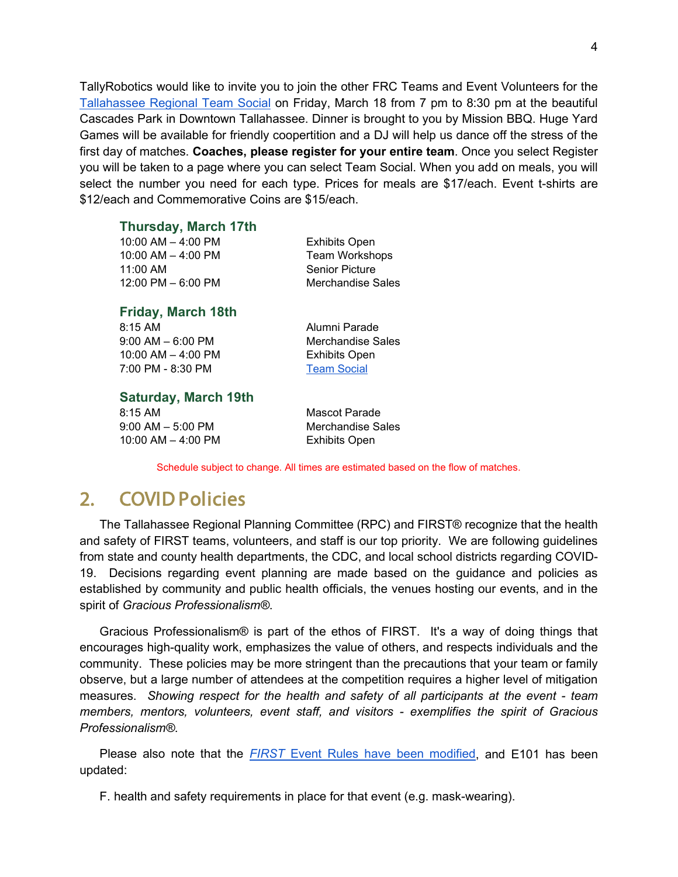TallyRobotics would like to invite you to join the other FRC Teams and Event Volunteers for the [Tallahassee Regional Team Social](https://www.eventbrite.com/e/271045513427) on Friday, March 18 from 7 pm to 8:30 pm at the beautiful Cascades Park in Downtown Tallahassee. Dinner is brought to you by Mission BBQ. Huge Yard Games will be available for friendly coopertition and a DJ will help us dance off the stress of the first day of matches. **Coaches, please register for your entire team**. Once you select Register you will be taken to a page where you can select Team Social. When you add on meals, you will select the number you need for each type. Prices for meals are \$17/each. Event t-shirts are \$12/each and Commemorative Coins are \$15/each.

#### **Thursday, March 17th**

| <b>Friday, March 18th</b> |                       |
|---------------------------|-----------------------|
| 12:00 PM $-$ 6:00 PM      | Merchandise Sale      |
| 11:00 AM                  | <b>Senior Picture</b> |
| 10:00 AM $-$ 4:00 PM      | <b>Team Workshops</b> |
| $10:00$ AM $-$ 4:00 PM    | <b>Exhibits Open</b>  |

8:15 AM 9:00 AM – 6:00 PM 10:00 AM – 4:00 PM 7:00 PM - 8:30 PM

Sales

Alumni Parade Merchandise Sales Exhibits Open [Team Social](https://www.eventbrite.com/e/271045513427)

#### **Saturday, March 19th**

8:15 AM 9:00 AM – 5:00 PM 10:00 AM – 4:00 PM Mascot Parade Merchandise Sales Exhibits Open

Schedule subject to change. All times are estimated based on the flow of matches.

#### <span id="page-3-0"></span>2. COVID Policies

The Tallahassee Regional Planning Committee (RPC) and FIRST® recognize that the health and safety of FIRST teams, volunteers, and staff is our top priority. We are following guidelines from state and county health departments, the CDC, and local school districts regarding COVID-19. Decisions regarding event planning are made based on the guidance and policies as established by community and public health officials, the venues hosting our events, and in the spirit of *Gracious Professionalism®*.

Gracious Professionalism® is part of the ethos of FIRST. It's a way of doing things that encourages high-quality work, emphasizes the value of others, and respects individuals and the community. These policies may be more stringent than the precautions that your team or family observe, but a large number of attendees at the competition requires a higher level of mitigation measures. *Showing respect for the health and safety of all participants at the event - team members, mentors, volunteers, event staff, and visitors - exemplifies the spirit of Gracious Professionalism®*.

Please also note that the *[FIRST](https://www.firstinspires.org/sites/default/files/uploads/frc/EventRulesManual.pdf)* [Event Rules have been modified,](https://www.firstinspires.org/sites/default/files/uploads/frc/EventRulesManual.pdf) and E101 has been updated:

F. health and safety requirements in place for that event (e.g. mask-wearing).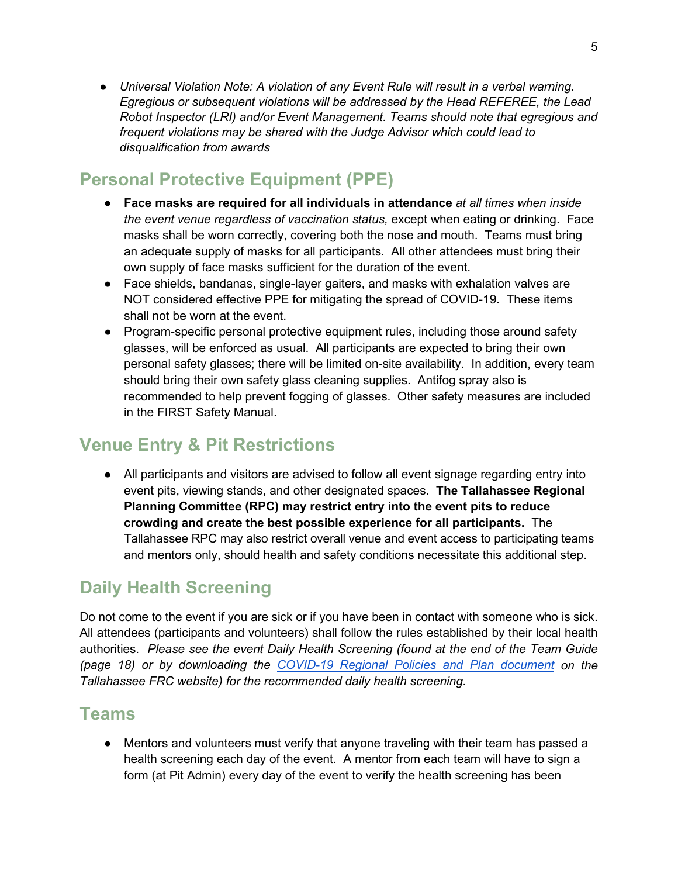● *Universal Violation Note: A violation of any Event Rule will result in a verbal warning. Egregious or subsequent violations will be addressed by the Head REFEREE, the Lead Robot Inspector (LRI) and/or Event Management. Teams should note that egregious and frequent violations may be shared with the Judge Advisor which could lead to disqualification from awards*

#### **Personal Protective Equipment (PPE)**

- **Face masks are required for all individuals in attendance** *at all times when inside the event venue regardless of vaccination status,* except when eating or drinking. Face masks shall be worn correctly, covering both the nose and mouth. Teams must bring an adequate supply of masks for all participants. All other attendees must bring their own supply of face masks sufficient for the duration of the event.
- Face shields, bandanas, single-layer gaiters, and masks with exhalation valves are NOT considered effective PPE for mitigating the spread of COVID-19. These items shall not be worn at the event.
- Program-specific personal protective equipment rules, including those around safety glasses, will be enforced as usual. All participants are expected to bring their own personal safety glasses; there will be limited on-site availability. In addition, every team should bring their own safety glass cleaning supplies. Antifog spray also is recommended to help prevent fogging of glasses. Other safety measures are included in the FIRST Safety Manual.

#### **Venue Entry & Pit Restrictions**

● All participants and visitors are advised to follow all event signage regarding entry into event pits, viewing stands, and other designated spaces. **The Tallahassee Regional Planning Committee (RPC) may restrict entry into the event pits to reduce crowding and create the best possible experience for all participants.** The Tallahassee RPC may also restrict overall venue and event access to participating teams and mentors only, should health and safety conditions necessitate this additional step.

#### **Daily Health Screening**

Do not come to the event if you are sick or if you have been in contact with someone who is sick. All attendees (participants and volunteers) shall follow the rules established by their local health authorities. *Please see the event Daily Health Screening (found at the end of the Team Guide (page 18) or by downloading the [COVID-19 Regional Policies and Plan document](https://tallahasseefrc.org/health-and-safety/) on the Tallahassee FRC website) for the recommended daily health screening.* 

#### **Teams**

● Mentors and volunteers must verify that anyone traveling with their team has passed a health screening each day of the event. A mentor from each team will have to sign a form (at Pit Admin) every day of the event to verify the health screening has been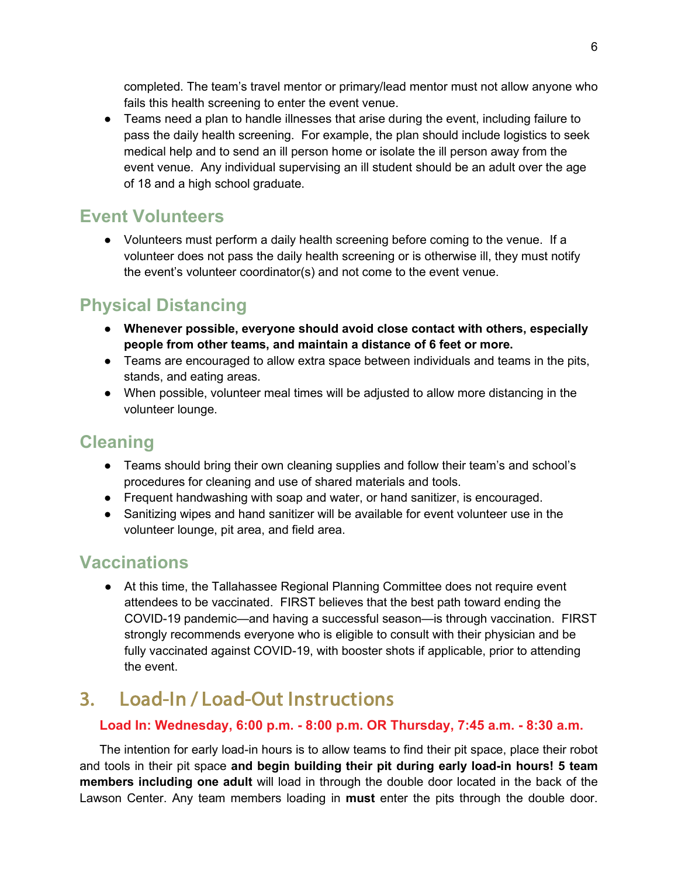completed. The team's travel mentor or primary/lead mentor must not allow anyone who fails this health screening to enter the event venue.

● Teams need a plan to handle illnesses that arise during the event, including failure to pass the daily health screening. For example, the plan should include logistics to seek medical help and to send an ill person home or isolate the ill person away from the event venue. Any individual supervising an ill student should be an adult over the age of 18 and a high school graduate.

#### **Event Volunteers**

● Volunteers must perform a daily health screening before coming to the venue. If a volunteer does not pass the daily health screening or is otherwise ill, they must notify the event's volunteer coordinator(s) and not come to the event venue.

#### **Physical Distancing**

- **Whenever possible, everyone should avoid close contact with others, especially people from other teams, and maintain a distance of 6 feet or more.**
- Teams are encouraged to allow extra space between individuals and teams in the pits, stands, and eating areas.
- When possible, volunteer meal times will be adjusted to allow more distancing in the volunteer lounge.

#### **Cleaning**

- Teams should bring their own cleaning supplies and follow their team's and school's procedures for cleaning and use of shared materials and tools.
- Frequent handwashing with soap and water, or hand sanitizer, is encouraged.
- Sanitizing wipes and hand sanitizer will be available for event volunteer use in the volunteer lounge, pit area, and field area.

#### **Vaccinations**

● At this time, the Tallahassee Regional Planning Committee does not require event attendees to be vaccinated. FIRST believes that the best path toward ending the COVID-19 pandemic—and having a successful season—is through vaccination. FIRST strongly recommends everyone who is eligible to consult with their physician and be fully vaccinated against COVID-19, with booster shots if applicable, prior to attending the event.

### <span id="page-5-0"></span>3. Load-In / Load-Out Instructions

#### **Load In: Wednesday, 6:00 p.m. - 8:00 p.m. OR Thursday, 7:45 a.m. - 8:30 a.m.**

The intention for early load-in hours is to allow teams to find their pit space, place their robot and tools in their pit space **and begin building their pit during early load-in hours! 5 team members including one adult** will load in through the double door located in the back of the Lawson Center. Any team members loading in **must** enter the pits through the double door.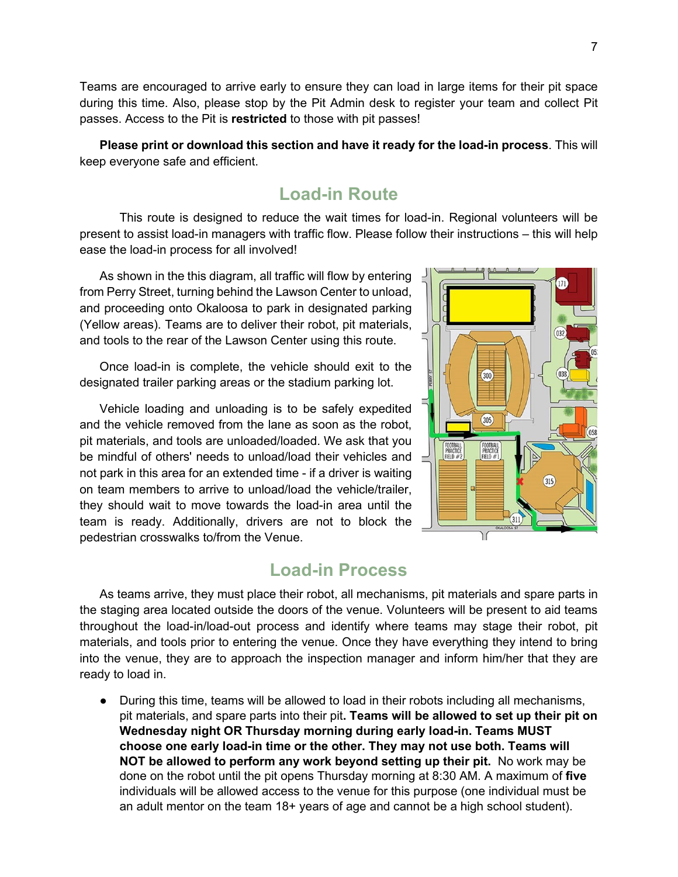Teams are encouraged to arrive early to ensure they can load in large items for their pit space during this time. Also, please stop by the Pit Admin desk to register your team and collect Pit passes. Access to the Pit is **restricted** to those with pit passes!

**Please print or download this section and have it ready for the load-in process**. This will keep everyone safe and efficient.

#### **Load-in Route**

This route is designed to reduce the wait times for load-in. Regional volunteers will be present to assist load-in managers with traffic flow. Please follow their instructions – this will help ease the load-in process for all involved!

As shown in the this diagram, all traffic will flow by entering from Perry Street, turning behind the Lawson Center to unload, and proceeding onto Okaloosa to park in designated parking (Yellow areas). Teams are to deliver their robot, pit materials, and tools to the rear of the Lawson Center using this route.

Once load-in is complete, the vehicle should exit to the designated trailer parking areas or the stadium parking lot.

Vehicle loading and unloading is to be safely expedited and the vehicle removed from the lane as soon as the robot, pit materials, and tools are unloaded/loaded. We ask that you be mindful of others' needs to unload/load their vehicles and not park in this area for an extended time - if a driver is waiting on team members to arrive to unload/load the vehicle/trailer, they should wait to move towards the load-in area until the team is ready. Additionally, drivers are not to block the pedestrian crosswalks to/from the Venue.



#### **Load-in Process**

As teams arrive, they must place their robot, all mechanisms, pit materials and spare parts in the staging area located outside the doors of the venue. Volunteers will be present to aid teams throughout the load-in/load-out process and identify where teams may stage their robot, pit materials, and tools prior to entering the venue. Once they have everything they intend to bring into the venue, they are to approach the inspection manager and inform him/her that they are ready to load in.

● During this time, teams will be allowed to load in their robots including all mechanisms, pit materials, and spare parts into their pit**. Teams will be allowed to set up their pit on Wednesday night OR Thursday morning during early load-in. Teams MUST choose one early load-in time or the other. They may not use both. Teams will NOT be allowed to perform any work beyond setting up their pit.** No work may be done on the robot until the pit opens Thursday morning at 8:30 AM. A maximum of **five** individuals will be allowed access to the venue for this purpose (one individual must be an adult mentor on the team 18+ years of age and cannot be a high school student).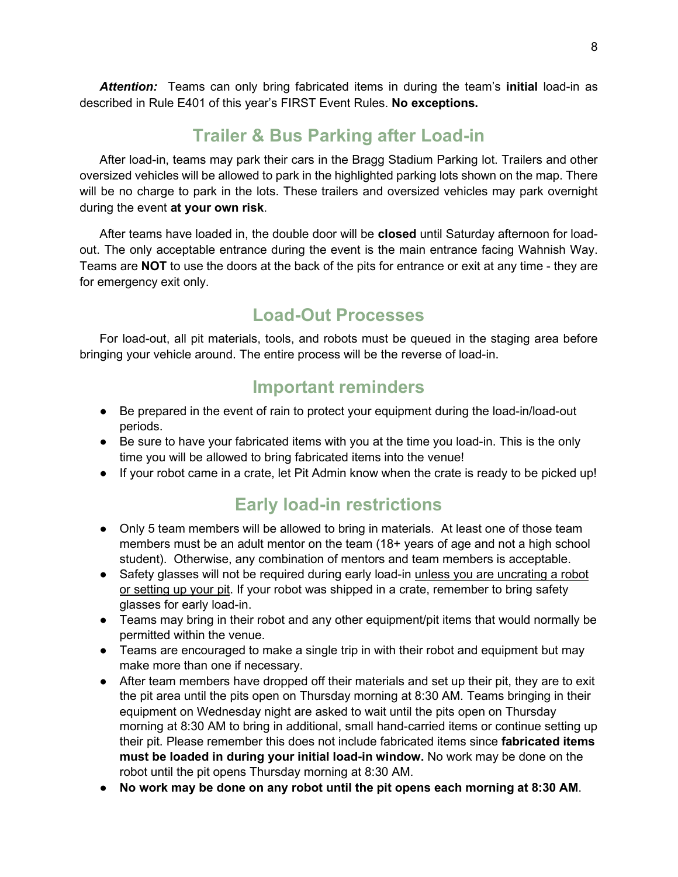*Attention:* Teams can only bring fabricated items in during the team's **initial** load-in as described in Rule E401 of this year's FIRST Event Rules. **No exceptions.** 

#### **Trailer & Bus Parking after Load-in**

After load-in, teams may park their cars in the Bragg Stadium Parking lot. Trailers and other oversized vehicles will be allowed to park in the highlighted parking lots shown on the map. There will be no charge to park in the lots. These trailers and oversized vehicles may park overnight during the event **at your own risk**.

After teams have loaded in, the double door will be **closed** until Saturday afternoon for loadout. The only acceptable entrance during the event is the main entrance facing Wahnish Way. Teams are **NOT** to use the doors at the back of the pits for entrance or exit at any time - they are for emergency exit only.

#### **Load-Out Processes**

For load-out, all pit materials, tools, and robots must be queued in the staging area before bringing your vehicle around. The entire process will be the reverse of load-in.

#### **Important reminders**

- Be prepared in the event of rain to protect your equipment during the load-in/load-out periods.
- Be sure to have your fabricated items with you at the time you load-in. This is the only time you will be allowed to bring fabricated items into the venue!
- If your robot came in a crate, let Pit Admin know when the crate is ready to be picked up!

#### **Early load-in restrictions**

- Only 5 team members will be allowed to bring in materials. At least one of those team members must be an adult mentor on the team (18+ years of age and not a high school student). Otherwise, any combination of mentors and team members is acceptable.
- Safety glasses will not be required during early load-in unless you are uncrating a robot or setting up your pit. If your robot was shipped in a crate, remember to bring safety glasses for early load-in.
- Teams may bring in their robot and any other equipment/pit items that would normally be permitted within the venue.
- Teams are encouraged to make a single trip in with their robot and equipment but may make more than one if necessary.
- After team members have dropped off their materials and set up their pit, they are to exit the pit area until the pits open on Thursday morning at 8:30 AM. Teams bringing in their equipment on Wednesday night are asked to wait until the pits open on Thursday morning at 8:30 AM to bring in additional, small hand-carried items or continue setting up their pit. Please remember this does not include fabricated items since **fabricated items must be loaded in during your initial load-in window.** No work may be done on the robot until the pit opens Thursday morning at 8:30 AM.
- **No work may be done on any robot until the pit opens each morning at 8:30 AM**.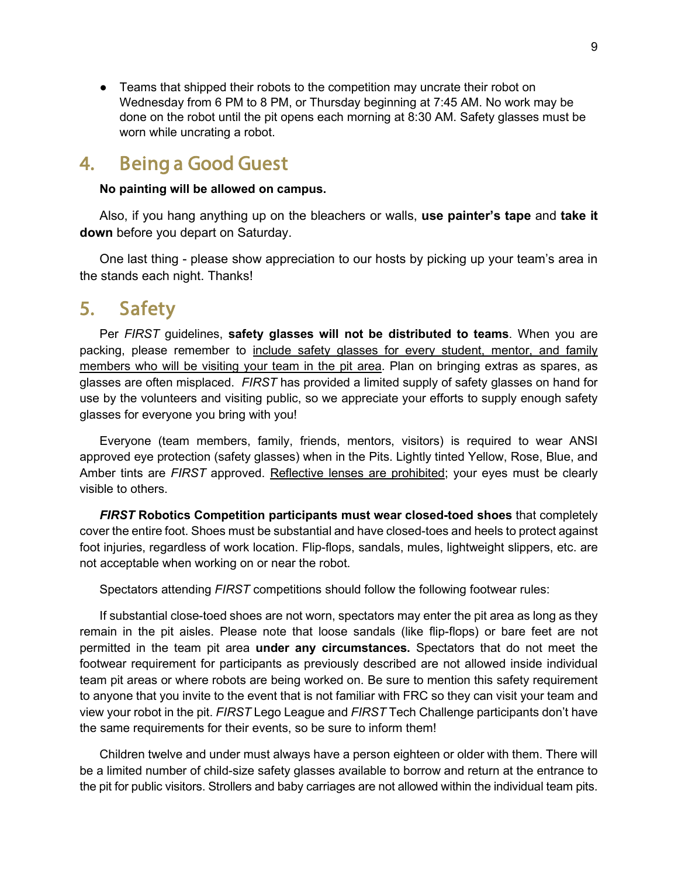● Teams that shipped their robots to the competition may uncrate their robot on Wednesday from 6 PM to 8 PM, or Thursday beginning at 7:45 AM. No work may be done on the robot until the pit opens each morning at 8:30 AM. Safety glasses must be worn while uncrating a robot.

#### <span id="page-8-0"></span>4. Being a Good Guest

#### **No painting will be allowed on campus.**

Also, if you hang anything up on the bleachers or walls, **use painter's tape** and **take it down** before you depart on Saturday.

One last thing - please show appreciation to our hosts by picking up your team's area in the stands each night. Thanks!

#### <span id="page-8-1"></span>5. Safety

Per *FIRST* guidelines, **safety glasses will not be distributed to teams**. When you are packing, please remember to include safety glasses for every student, mentor, and family members who will be visiting your team in the pit area. Plan on bringing extras as spares, as glasses are often misplaced. *FIRST* has provided a limited supply of safety glasses on hand for use by the volunteers and visiting public, so we appreciate your efforts to supply enough safety glasses for everyone you bring with you!

Everyone (team members, family, friends, mentors, visitors) is required to wear ANSI approved eye protection (safety glasses) when in the Pits. Lightly tinted Yellow, Rose, Blue, and Amber tints are *FIRST* approved. Reflective lenses are prohibited; your eyes must be clearly visible to others.

*FIRST* **Robotics Competition participants must wear closed-toed shoes** that completely cover the entire foot. Shoes must be substantial and have closed-toes and heels to protect against foot injuries, regardless of work location. Flip-flops, sandals, mules, lightweight slippers, etc. are not acceptable when working on or near the robot.

Spectators attending *FIRST* competitions should follow the following footwear rules:

If substantial close-toed shoes are not worn, spectators may enter the pit area as long as they remain in the pit aisles. Please note that loose sandals (like flip-flops) or bare feet are not permitted in the team pit area **under any circumstances.** Spectators that do not meet the footwear requirement for participants as previously described are not allowed inside individual team pit areas or where robots are being worked on. Be sure to mention this safety requirement to anyone that you invite to the event that is not familiar with FRC so they can visit your team and view your robot in the pit. *FIRST* Lego League and *FIRST* Tech Challenge participants don't have the same requirements for their events, so be sure to inform them!

Children twelve and under must always have a person eighteen or older with them. There will be a limited number of child-size safety glasses available to borrow and return at the entrance to the pit for public visitors. Strollers and baby carriages are not allowed within the individual team pits.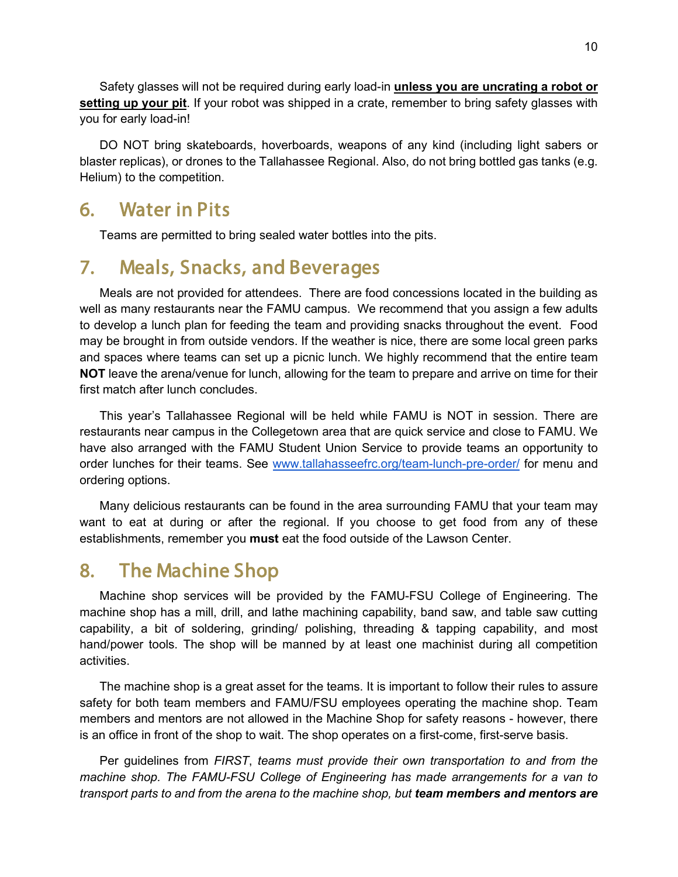Safety glasses will not be required during early load-in **unless you are uncrating a robot or setting up your pit**. If your robot was shipped in a crate, remember to bring safety glasses with you for early load-in!

DO NOT bring skateboards, hoverboards, weapons of any kind (including light sabers or blaster replicas), or drones to the Tallahassee Regional. Also, do not bring bottled gas tanks (e.g. Helium) to the competition.

#### <span id="page-9-0"></span>6. Water in Pits

Teams are permitted to bring sealed water bottles into the pits.

#### <span id="page-9-1"></span>7. Meals, Snacks, and Beverages

Meals are not provided for attendees. There are food concessions located in the building as well as many restaurants near the FAMU campus. We recommend that you assign a few adults to develop a lunch plan for feeding the team and providing snacks throughout the event. Food may be brought in from outside vendors. If the weather is nice, there are some local green parks and spaces where teams can set up a picnic lunch. We highly recommend that the entire team **NOT** leave the arena/venue for lunch, allowing for the team to prepare and arrive on time for their first match after lunch concludes.

This year's Tallahassee Regional will be held while FAMU is NOT in session. There are restaurants near campus in the Collegetown area that are quick service and close to FAMU. We have also arranged with the FAMU Student Union Service to provide teams an opportunity to order lunches for their teams. See [www.tallahasseefrc.org/team-lunch-pre-order/](https://tallahasseefrc.org/team-lunch-pre-order/) for menu and ordering options.

Many delicious restaurants can be found in the area surrounding FAMU that your team may want to eat at during or after the regional. If you choose to get food from any of these establishments, remember you **must** eat the food outside of the Lawson Center.

#### <span id="page-9-2"></span>8. The Machine Shop

Machine shop services will be provided by the FAMU-FSU College of Engineering. The machine shop has a mill, drill, and lathe machining capability, band saw, and table saw cutting capability, a bit of soldering, grinding/ polishing, threading & tapping capability, and most hand/power tools. The shop will be manned by at least one machinist during all competition activities.

The machine shop is a great asset for the teams. It is important to follow their rules to assure safety for both team members and FAMU/FSU employees operating the machine shop. Team members and mentors are not allowed in the Machine Shop for safety reasons - however, there is an office in front of the shop to wait. The shop operates on a first-come, first-serve basis.

Per guidelines from *FIRST*, *teams must provide their own transportation to and from the machine shop. The FAMU-FSU College of Engineering has made arrangements for a van to transport parts to and from the arena to the machine shop, but team members and mentors are*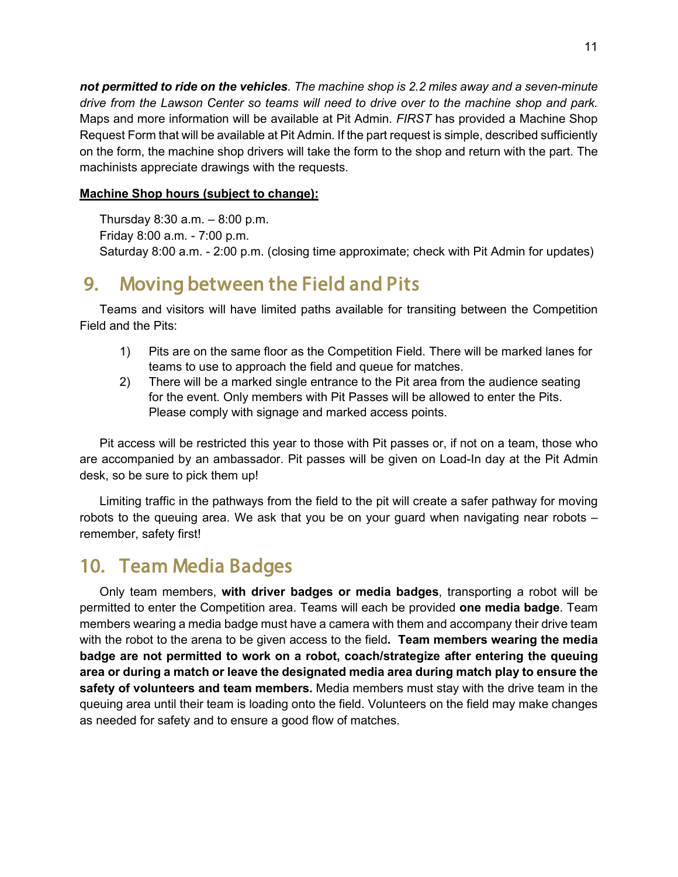*not permitted to ride on the vehicles. The machine shop is 2.2 miles away and a seven-minute drive from the Lawson Center so teams will need to drive over to the machine shop and park.*  Maps and more information will be available at Pit Admin. *FIRST* has provided a Machine Shop Request Form that will be available at Pit Admin. If the part request is simple, described sufficiently on the form, the machine shop drivers will take the form to the shop and return with the part. The machinists appreciate drawings with the requests.

#### **Machine Shop hours (subject to change):**

Thursday  $8:30$  a.m.  $-8:00$  p.m. Friday 8:00 a.m. - 7:00 p.m. Saturday 8:00 a.m. - 2:00 p.m. (closing time approximate; check with Pit Admin for updates)

#### <span id="page-10-0"></span>9. Moving between the Field and Pits

Teams and visitors will have limited paths available for transiting between the Competition Field and the Pits:

- 1) Pits are on the same floor as the Competition Field. There will be marked lanes for teams to use to approach the field and queue for matches.
- 2) There will be a marked single entrance to the Pit area from the audience seating for the event. Only members with Pit Passes will be allowed to enter the Pits. Please comply with signage and marked access points.

Pit access will be restricted this year to those with Pit passes or, if not on a team, those who are accompanied by an ambassador. Pit passes will be given on Load-In day at the Pit Admin desk, so be sure to pick them up!

Limiting traffic in the pathways from the field to the pit will create a safer pathway for moving robots to the queuing area. We ask that you be on your guard when navigating near robots – remember, safety first!

#### <span id="page-10-1"></span>10. Team Media Badges

Only team members, **with driver badges or media badges**, transporting a robot will be permitted to enter the Competition area. Teams will each be provided **one media badge**. Team members wearing a media badge must have a camera with them and accompany their drive team with the robot to the arena to be given access to the field**. Team members wearing the media badge are not permitted to work on a robot, coach/strategize after entering the queuing area or during a match or leave the designated media area during match play to ensure the safety of volunteers and team members.** Media members must stay with the drive team in the queuing area until their team is loading onto the field. Volunteers on the field may make changes as needed for safety and to ensure a good flow of matches.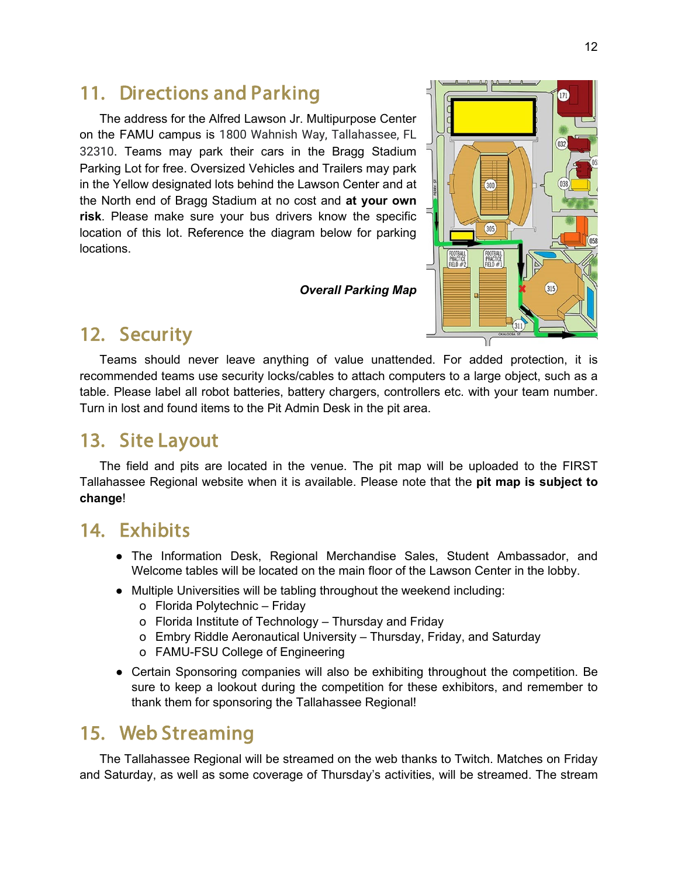#### <span id="page-11-0"></span>11. Directions and Parking

The address for the Alfred Lawson Jr. Multipurpose Center on the FAMU campus is 1800 Wahnish Way, Tallahassee, FL 32310. Teams may park their cars in the Bragg Stadium Parking Lot for free. Oversized Vehicles and Trailers may park in the Yellow designated lots behind the Lawson Center and at the North end of Bragg Stadium at no cost and **at your own risk**. Please make sure your bus drivers know the specific location of this lot. Reference the diagram below for parking locations.

*Overall Parking Map*



#### <span id="page-11-1"></span>12. Security

Teams should never leave anything of value unattended. For added protection, it is recommended teams use security locks/cables to attach computers to a large object, such as a table. Please label all robot batteries, battery chargers, controllers etc. with your team number. Turn in lost and found items to the Pit Admin Desk in the pit area.

#### <span id="page-11-2"></span>13. Site Layout

The field and pits are located in the venue. The pit map will be uploaded to the FIRST Tallahassee Regional website when it is available. Please note that the **pit map is subject to change**!

#### <span id="page-11-3"></span>14. Exhibits

- The Information Desk, Regional Merchandise Sales, Student Ambassador, and Welcome tables will be located on the main floor of the Lawson Center in the lobby.
- Multiple Universities will be tabling throughout the weekend including:
	- o Florida Polytechnic Friday
	- o Florida Institute of Technology Thursday and Friday
	- o Embry Riddle Aeronautical University Thursday, Friday, and Saturday
	- o FAMU-FSU College of Engineering
- Certain Sponsoring companies will also be exhibiting throughout the competition. Be sure to keep a lookout during the competition for these exhibitors, and remember to thank them for sponsoring the Tallahassee Regional!

#### <span id="page-11-4"></span>15. Web Streaming

The Tallahassee Regional will be streamed on the web thanks to Twitch. Matches on Friday and Saturday, as well as some coverage of Thursday's activities, will be streamed. The stream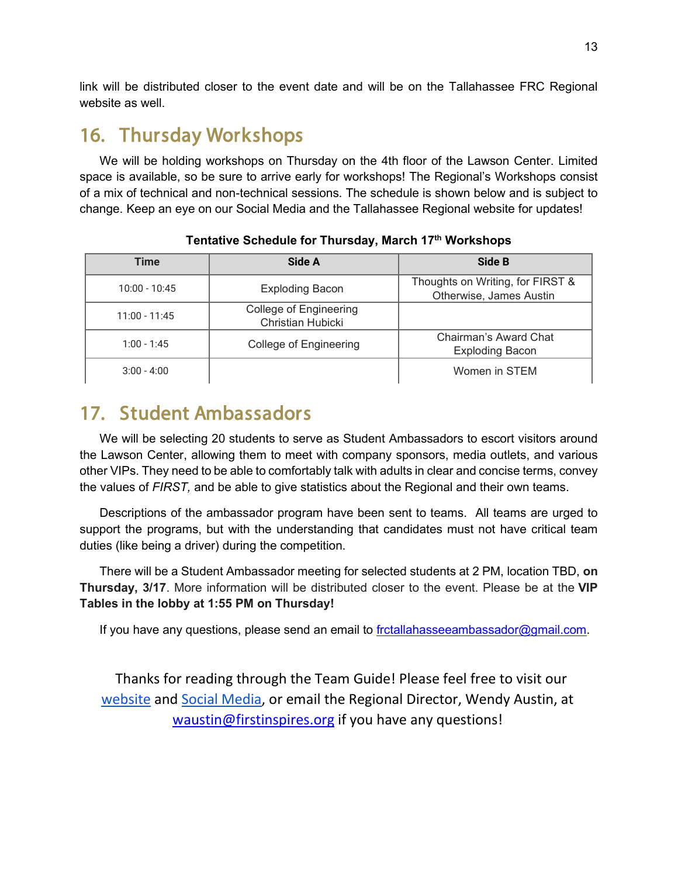link will be distributed closer to the event date and will be on the Tallahassee FRC Regional website as well.

### <span id="page-12-0"></span>16. Thursday Workshops

We will be holding workshops on Thursday on the 4th floor of the Lawson Center. Limited space is available, so be sure to arrive early for workshops! The Regional's Workshops consist of a mix of technical and non-technical sessions. The schedule is shown below and is subject to change. Keep an eye on our Social Media and the Tallahassee Regional website for updates!

| <b>Time</b>     | Side A                                      | Side B                                                      |
|-----------------|---------------------------------------------|-------------------------------------------------------------|
| $10:00 - 10:45$ | <b>Exploding Bacon</b>                      | Thoughts on Writing, for FIRST &<br>Otherwise, James Austin |
| $11:00 - 11:45$ | College of Engineering<br>Christian Hubicki |                                                             |
| $1:00 - 1:45$   | College of Engineering                      | Chairman's Award Chat<br><b>Exploding Bacon</b>             |
| $3:00 - 4:00$   |                                             | Women in STEM                                               |

#### **Tentative Schedule for Thursday, March 17th Workshops**

#### <span id="page-12-1"></span>17. Student Ambassadors

We will be selecting 20 students to serve as Student Ambassadors to escort visitors around the Lawson Center, allowing them to meet with company sponsors, media outlets, and various other VIPs. They need to be able to comfortably talk with adults in clear and concise terms, convey the values of *FIRST,* and be able to give statistics about the Regional and their own teams.

Descriptions of the ambassador program have been sent to teams. All teams are urged to support the programs, but with the understanding that candidates must not have critical team duties (like being a driver) during the competition.

There will be a Student Ambassador meeting for selected students at 2 PM, location TBD, **on Thursday, 3/17**. More information will be distributed closer to the event. Please be at the **VIP Tables in the lobby at 1:55 PM on Thursday!**

If you have any questions, please send an email to [frctallahasseeambassador@gmail.com.](mailto:frctallahasseeambassador@gmail.com)

Thanks for reading through the Team Guide! Please feel free to visit our [website](https://tallahasseefrc.org/) and [Social Media,](https://www.facebook.com/TallahasseeFRCRegional) or email the Regional Director, Wendy Austin, at waustin@firstinspires.org if you have any questions!